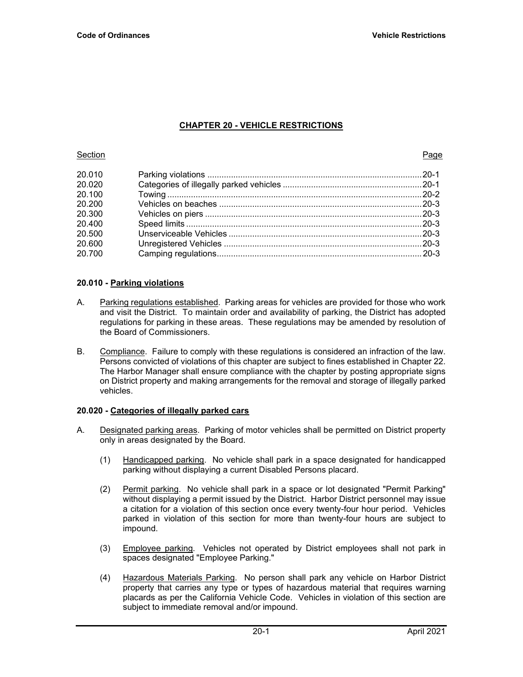# **CHAPTER 20 - VEHICLE RESTRICTIONS**

### **Section Page 2018**

| 20.010 |  |
|--------|--|
| 20.020 |  |
| 20.100 |  |
| 20.200 |  |
| 20.300 |  |
| 20.400 |  |
| 20.500 |  |
| 20.600 |  |
| 20.700 |  |
|        |  |

## **20.010 - Parking violations**

- A. Parking regulations established. Parking areas for vehicles are provided for those who work and visit the District. To maintain order and availability of parking, the District has adopted regulations for parking in these areas. These regulations may be amended by resolution of the Board of Commissioners.
- B. Compliance. Failure to comply with these regulations is considered an infraction of the law. Persons convicted of violations of this chapter are subject to fines established in Chapter 22. The Harbor Manager shall ensure compliance with the chapter by posting appropriate signs on District property and making arrangements for the removal and storage of illegally parked vehicles.

## **20.020 - Categories of illegally parked cars**

- A. Designated parking areas. Parking of motor vehicles shall be permitted on District property only in areas designated by the Board.
	- (1) Handicapped parking. No vehicle shall park in a space designated for handicapped parking without displaying a current Disabled Persons placard.
	- (2) Permit parking. No vehicle shall park in a space or lot designated "Permit Parking" without displaying a permit issued by the District. Harbor District personnel may issue a citation for a violation of this section once every twenty-four hour period. Vehicles parked in violation of this section for more than twenty-four hours are subject to impound.
	- (3) Employee parking. Vehicles not operated by District employees shall not park in spaces designated "Employee Parking."
	- (4) Hazardous Materials Parking. No person shall park any vehicle on Harbor District property that carries any type or types of hazardous material that requires warning placards as per the California Vehicle Code. Vehicles in violation of this section are subject to immediate removal and/or impound.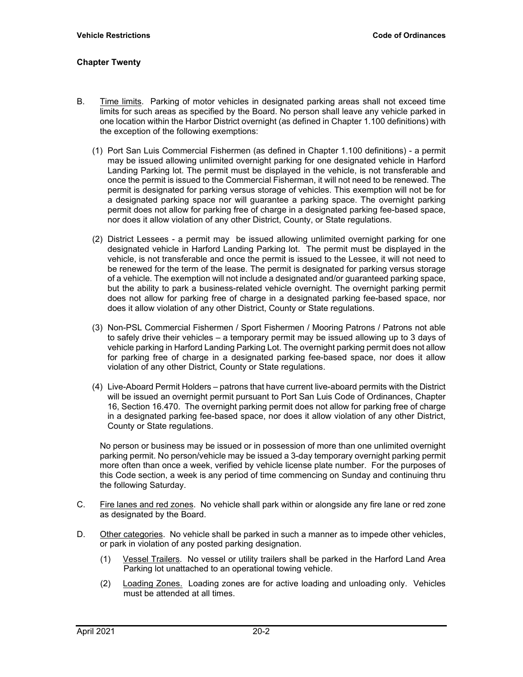## **Chapter Twenty**

- B. Time limits. Parking of motor vehicles in designated parking areas shall not exceed time limits for such areas as specified by the Board. No person shall leave any vehicle parked in one location within the Harbor District overnight (as defined in Chapter 1.100 definitions) with the exception of the following exemptions:
	- (1) Port San Luis Commercial Fishermen (as defined in Chapter 1.100 definitions) a permit may be issued allowing unlimited overnight parking for one designated vehicle in Harford Landing Parking lot. The permit must be displayed in the vehicle, is not transferable and once the permit is issued to the Commercial Fisherman, it will not need to be renewed. The permit is designated for parking versus storage of vehicles. This exemption will not be for a designated parking space nor will guarantee a parking space. The overnight parking permit does not allow for parking free of charge in a designated parking fee-based space, nor does it allow violation of any other District, County, or State regulations.
	- (2) District Lessees a permit may be issued allowing unlimited overnight parking for one designated vehicle in Harford Landing Parking lot. The permit must be displayed in the vehicle, is not transferable and once the permit is issued to the Lessee, it will not need to be renewed for the term of the lease. The permit is designated for parking versus storage of a vehicle. The exemption will not include a designated and/or guaranteed parking space, but the ability to park a business-related vehicle overnight. The overnight parking permit does not allow for parking free of charge in a designated parking fee-based space, nor does it allow violation of any other District, County or State regulations.
	- (3) Non-PSL Commercial Fishermen / Sport Fishermen / Mooring Patrons / Patrons not able to safely drive their vehicles – a temporary permit may be issued allowing up to 3 days of vehicle parking in Harford Landing Parking Lot. The overnight parking permit does not allow for parking free of charge in a designated parking fee-based space, nor does it allow violation of any other District, County or State regulations.
	- (4) Live-Aboard Permit Holders patrons that have current live-aboard permits with the District will be issued an overnight permit pursuant to Port San Luis Code of Ordinances, Chapter 16, Section 16.470. The overnight parking permit does not allow for parking free of charge in a designated parking fee-based space, nor does it allow violation of any other District, County or State regulations.

No person or business may be issued or in possession of more than one unlimited overnight parking permit. No person/vehicle may be issued a 3-day temporary overnight parking permit more often than once a week, verified by vehicle license plate number. For the purposes of this Code section, a week is any period of time commencing on Sunday and continuing thru the following Saturday.

- C. Fire lanes and red zones. No vehicle shall park within or alongside any fire lane or red zone as designated by the Board.
- D. Other categories. No vehicle shall be parked in such a manner as to impede other vehicles, or park in violation of any posted parking designation.
	- (1) Vessel Trailers. No vessel or utility trailers shall be parked in the Harford Land Area Parking lot unattached to an operational towing vehicle.
	- (2) Loading Zones. Loading zones are for active loading and unloading only. Vehicles must be attended at all times.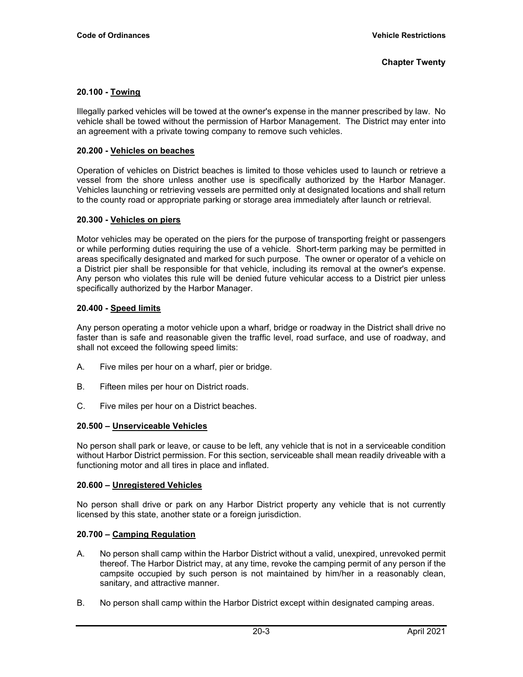#### **Chapter Twenty**

## **20.100 - Towing**

Illegally parked vehicles will be towed at the owner's expense in the manner prescribed by law. No vehicle shall be towed without the permission of Harbor Management. The District may enter into an agreement with a private towing company to remove such vehicles.

### **20.200 - Vehicles on beaches**

Operation of vehicles on District beaches is limited to those vehicles used to launch or retrieve a vessel from the shore unless another use is specifically authorized by the Harbor Manager. Vehicles launching or retrieving vessels are permitted only at designated locations and shall return to the county road or appropriate parking or storage area immediately after launch or retrieval.

### **20.300 - Vehicles on piers**

Motor vehicles may be operated on the piers for the purpose of transporting freight or passengers or while performing duties requiring the use of a vehicle. Short-term parking may be permitted in areas specifically designated and marked for such purpose. The owner or operator of a vehicle on a District pier shall be responsible for that vehicle, including its removal at the owner's expense. Any person who violates this rule will be denied future vehicular access to a District pier unless specifically authorized by the Harbor Manager.

## **20.400 - Speed limits**

Any person operating a motor vehicle upon a wharf, bridge or roadway in the District shall drive no faster than is safe and reasonable given the traffic level, road surface, and use of roadway, and shall not exceed the following speed limits:

- A. Five miles per hour on a wharf, pier or bridge.
- B. Fifteen miles per hour on District roads.
- C. Five miles per hour on a District beaches.

### **20.500 – Unserviceable Vehicles**

No person shall park or leave, or cause to be left, any vehicle that is not in a serviceable condition without Harbor District permission. For this section, serviceable shall mean readily driveable with a functioning motor and all tires in place and inflated.

### **20.600 – Unregistered Vehicles**

No person shall drive or park on any Harbor District property any vehicle that is not currently licensed by this state, another state or a foreign jurisdiction.

## **20.700 – Camping Regulation**

- A. No person shall camp within the Harbor District without a valid, unexpired, unrevoked permit thereof. The Harbor District may, at any time, revoke the camping permit of any person if the campsite occupied by such person is not maintained by him/her in a reasonably clean, sanitary, and attractive manner.
- B. No person shall camp within the Harbor District except within designated camping areas.